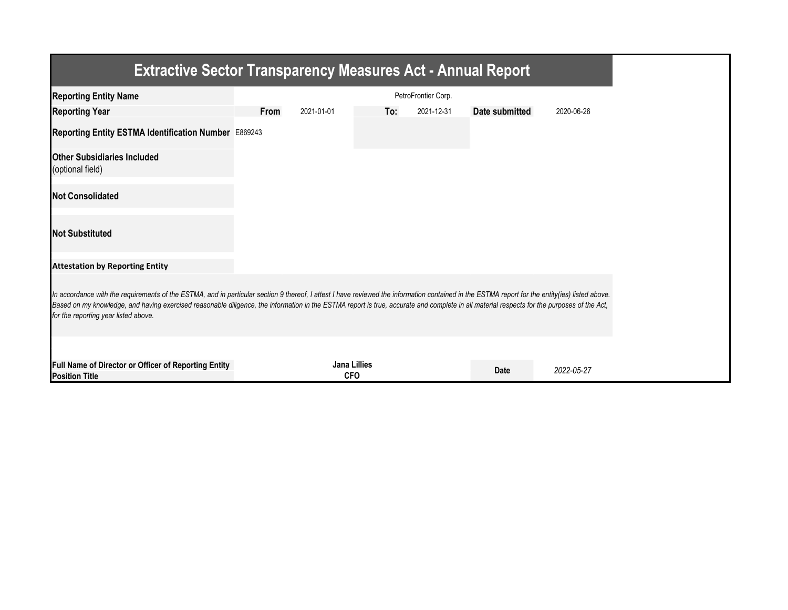| <b>Extractive Sector Transparency Measures Act - Annual Report</b>                                                                                                                                                                                                                                                                                                                                                                    |      |            |                                   |                     |                |            |  |  |
|---------------------------------------------------------------------------------------------------------------------------------------------------------------------------------------------------------------------------------------------------------------------------------------------------------------------------------------------------------------------------------------------------------------------------------------|------|------------|-----------------------------------|---------------------|----------------|------------|--|--|
| <b>Reporting Entity Name</b>                                                                                                                                                                                                                                                                                                                                                                                                          |      |            |                                   | PetroFrontier Corp. |                |            |  |  |
| <b>Reporting Year</b>                                                                                                                                                                                                                                                                                                                                                                                                                 | From | 2021-01-01 | To:                               | 2021-12-31          | Date submitted | 2020-06-26 |  |  |
| Reporting Entity ESTMA Identification Number E869243                                                                                                                                                                                                                                                                                                                                                                                  |      |            |                                   |                     |                |            |  |  |
| <b>Other Subsidiaries Included</b><br>(optional field)                                                                                                                                                                                                                                                                                                                                                                                |      |            |                                   |                     |                |            |  |  |
| <b>Not Consolidated</b>                                                                                                                                                                                                                                                                                                                                                                                                               |      |            |                                   |                     |                |            |  |  |
| <b>Not Substituted</b>                                                                                                                                                                                                                                                                                                                                                                                                                |      |            |                                   |                     |                |            |  |  |
| <b>Attestation by Reporting Entity</b>                                                                                                                                                                                                                                                                                                                                                                                                |      |            |                                   |                     |                |            |  |  |
| In accordance with the requirements of the ESTMA, and in particular section 9 thereof, I attest I have reviewed the information contained in the ESTMA report for the entity(ies) listed above.<br>Based on my knowledge, and having exercised reasonable diligence, the information in the ESTMA report is true, accurate and complete in all material respects for the purposes of the Act,<br>for the reporting year listed above. |      |            |                                   |                     |                |            |  |  |
| Full Name of Director or Officer of Reporting Entity<br><b>Position Title</b>                                                                                                                                                                                                                                                                                                                                                         |      |            | <b>Jana Lillies</b><br><b>CFO</b> |                     | Date           | 2022-05-27 |  |  |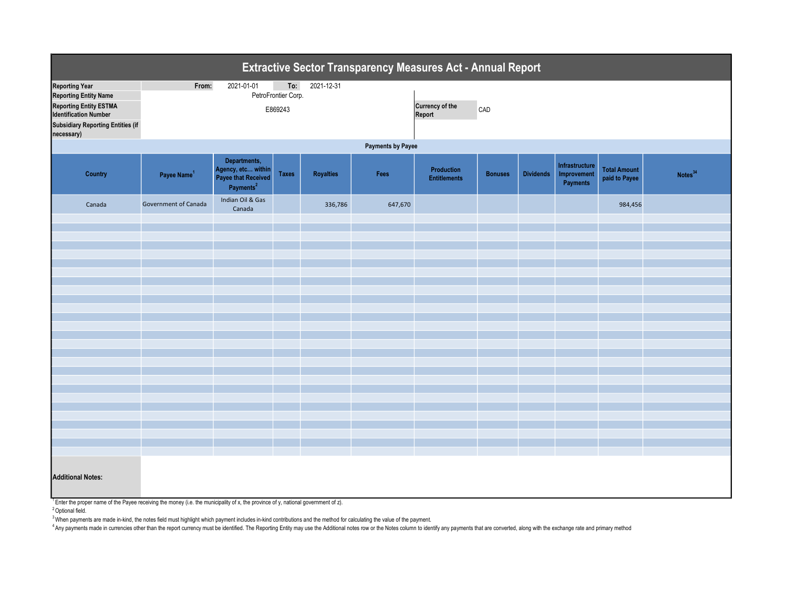| Extractive Sector Transparency Measures Act - Annual Report                                                                                                                |                         |                                                                                    |                            |                  |         |                                   |                |                  |                                           |                                      |                     |  |
|----------------------------------------------------------------------------------------------------------------------------------------------------------------------------|-------------------------|------------------------------------------------------------------------------------|----------------------------|------------------|---------|-----------------------------------|----------------|------------------|-------------------------------------------|--------------------------------------|---------------------|--|
| <b>Reporting Year</b>                                                                                                                                                      | From:                   | 2021-01-01                                                                         | To:<br>PetroFrontier Corp. | 2021-12-31       |         |                                   |                |                  |                                           |                                      |                     |  |
| <b>Reporting Entity Name</b>                                                                                                                                               |                         |                                                                                    |                            |                  |         |                                   |                |                  |                                           |                                      |                     |  |
| <b>Reporting Entity ESTMA</b><br><b>Identification Number</b>                                                                                                              | E869243                 |                                                                                    |                            |                  |         | <b>Currency of the</b><br>Report  | CAD            |                  |                                           |                                      |                     |  |
| <b>Subsidiary Reporting Entities (if</b><br>necessary)                                                                                                                     |                         |                                                                                    |                            |                  |         |                                   |                |                  |                                           |                                      |                     |  |
| <b>Payments by Payee</b>                                                                                                                                                   |                         |                                                                                    |                            |                  |         |                                   |                |                  |                                           |                                      |                     |  |
| Country                                                                                                                                                                    | Payee Name <sup>1</sup> | Departments,<br>Agency, etc within<br>Payee that Received<br>Payments <sup>2</sup> | <b>Taxes</b>               | <b>Royalties</b> | Fees    | Production<br><b>Entitlements</b> | <b>Bonuses</b> | <b>Dividends</b> | Infrastructure<br>Improvement<br>Payments | <b>Total Amount</b><br>paid to Payee | Notes <sup>34</sup> |  |
| Canada                                                                                                                                                                     | Government of Canada    | Indian Oil & Gas<br>Canada                                                         |                            | 336,786          | 647,670 |                                   |                |                  |                                           | 984,456                              |                     |  |
|                                                                                                                                                                            |                         |                                                                                    |                            |                  |         |                                   |                |                  |                                           |                                      |                     |  |
|                                                                                                                                                                            |                         |                                                                                    |                            |                  |         |                                   |                |                  |                                           |                                      |                     |  |
|                                                                                                                                                                            |                         |                                                                                    |                            |                  |         |                                   |                |                  |                                           |                                      |                     |  |
|                                                                                                                                                                            |                         |                                                                                    |                            |                  |         |                                   |                |                  |                                           |                                      |                     |  |
|                                                                                                                                                                            |                         |                                                                                    |                            |                  |         |                                   |                |                  |                                           |                                      |                     |  |
|                                                                                                                                                                            |                         |                                                                                    |                            |                  |         |                                   |                |                  |                                           |                                      |                     |  |
|                                                                                                                                                                            |                         |                                                                                    |                            |                  |         |                                   |                |                  |                                           |                                      |                     |  |
|                                                                                                                                                                            |                         |                                                                                    |                            |                  |         |                                   |                |                  |                                           |                                      |                     |  |
|                                                                                                                                                                            |                         |                                                                                    |                            |                  |         |                                   |                |                  |                                           |                                      |                     |  |
|                                                                                                                                                                            |                         |                                                                                    |                            |                  |         |                                   |                |                  |                                           |                                      |                     |  |
|                                                                                                                                                                            |                         |                                                                                    |                            |                  |         |                                   |                |                  |                                           |                                      |                     |  |
|                                                                                                                                                                            |                         |                                                                                    |                            |                  |         |                                   |                |                  |                                           |                                      |                     |  |
|                                                                                                                                                                            |                         |                                                                                    |                            |                  |         |                                   |                |                  |                                           |                                      |                     |  |
|                                                                                                                                                                            |                         |                                                                                    |                            |                  |         |                                   |                |                  |                                           |                                      |                     |  |
|                                                                                                                                                                            |                         |                                                                                    |                            |                  |         |                                   |                |                  |                                           |                                      |                     |  |
|                                                                                                                                                                            |                         |                                                                                    |                            |                  |         |                                   |                |                  |                                           |                                      |                     |  |
|                                                                                                                                                                            |                         |                                                                                    |                            |                  |         |                                   |                |                  |                                           |                                      |                     |  |
|                                                                                                                                                                            |                         |                                                                                    |                            |                  |         |                                   |                |                  |                                           |                                      |                     |  |
|                                                                                                                                                                            |                         |                                                                                    |                            |                  |         |                                   |                |                  |                                           |                                      |                     |  |
|                                                                                                                                                                            |                         |                                                                                    |                            |                  |         |                                   |                |                  |                                           |                                      |                     |  |
| <b>Additional Notes:</b><br><sup>1</sup> Enter the proper name of the Payee receiving the money (i.e. the municipality of x, the province of y, national government of z). |                         |                                                                                    |                            |                  |         |                                   |                |                  |                                           |                                      |                     |  |

<sup>2</sup> Optional field.

<sup>3</sup> When payments are made in-kind, the notes field must highlight which payment includes in-kind contributions and the method for calculating the value of the payment.

A the proportional interval in the report currency must be identified. The Reporting Entity may use the Additional notes row or the Notes column to identify any payments that are converted, along with the exchange rate and